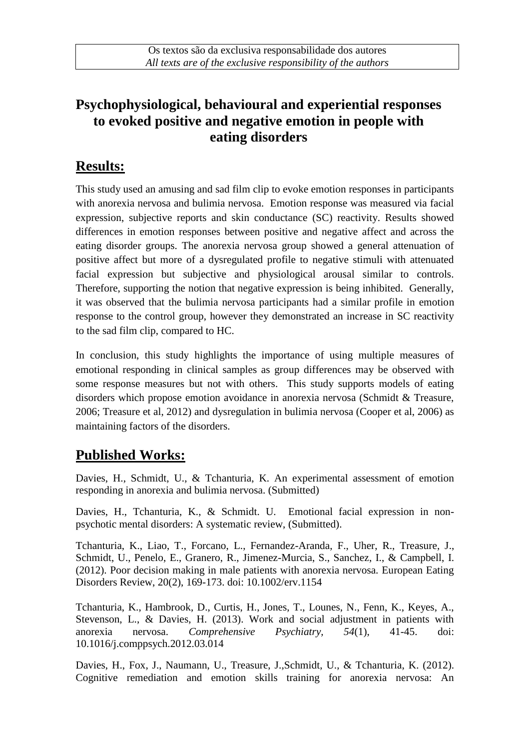# **Psychophysiological, behavioural and experiential responses to evoked positive and negative emotion in people with eating disorders**

## **Results:**

This study used an amusing and sad film clip to evoke emotion responses in participants with anorexia nervosa and bulimia nervosa. Emotion response was measured via facial expression, subjective reports and skin conductance (SC) reactivity. Results showed differences in emotion responses between positive and negative affect and across the eating disorder groups. The anorexia nervosa group showed a general attenuation of positive affect but more of a dysregulated profile to negative stimuli with attenuated facial expression but subjective and physiological arousal similar to controls. Therefore, supporting the notion that negative expression is being inhibited. Generally, it was observed that the bulimia nervosa participants had a similar profile in emotion response to the control group, however they demonstrated an increase in SC reactivity to the sad film clip, compared to HC.

In conclusion, this study highlights the importance of using multiple measures of emotional responding in clinical samples as group differences may be observed with some response measures but not with others. This study supports models of eating disorders which propose emotion avoidance in anorexia nervosa (Schmidt & Treasure, 2006; Treasure et al, 2012) and dysregulation in bulimia nervosa (Cooper et al, 2006) as maintaining factors of the disorders.

### **Published Works:**

Davies, H., Schmidt, U., & Tchanturia, K. An experimental assessment of emotion responding in anorexia and bulimia nervosa. (Submitted)

Davies, H., Tchanturia, K., & Schmidt. U. Emotional facial expression in nonpsychotic mental disorders: A systematic review, (Submitted).

Tchanturia, K., Liao, T., Forcano, L., Fernandez-Aranda, F., Uher, R., Treasure, J., Schmidt, U., Penelo, E., Granero, R., Jimenez-Murcia, S., Sanchez, I., & Campbell, I. (2012). Poor decision making in male patients with anorexia nervosa. European Eating Disorders Review, 20(2), 169-173. doi: 10.1002/erv.1154

Tchanturia, K., Hambrook, D., Curtis, H., Jones, T., Lounes, N., Fenn, K., Keyes, A., Stevenson, L., & Davies, H. (2013). Work and social adjustment in patients with anorexia nervosa. *Comprehensive Psychiatry, 54*(1), 41-45. doi: 10.1016/j.comppsych.2012.03.014

Davies, H., Fox, J., Naumann, U., Treasure, J.,Schmidt, U., & Tchanturia, K. (2012). Cognitive remediation and emotion skills training for anorexia nervosa: An